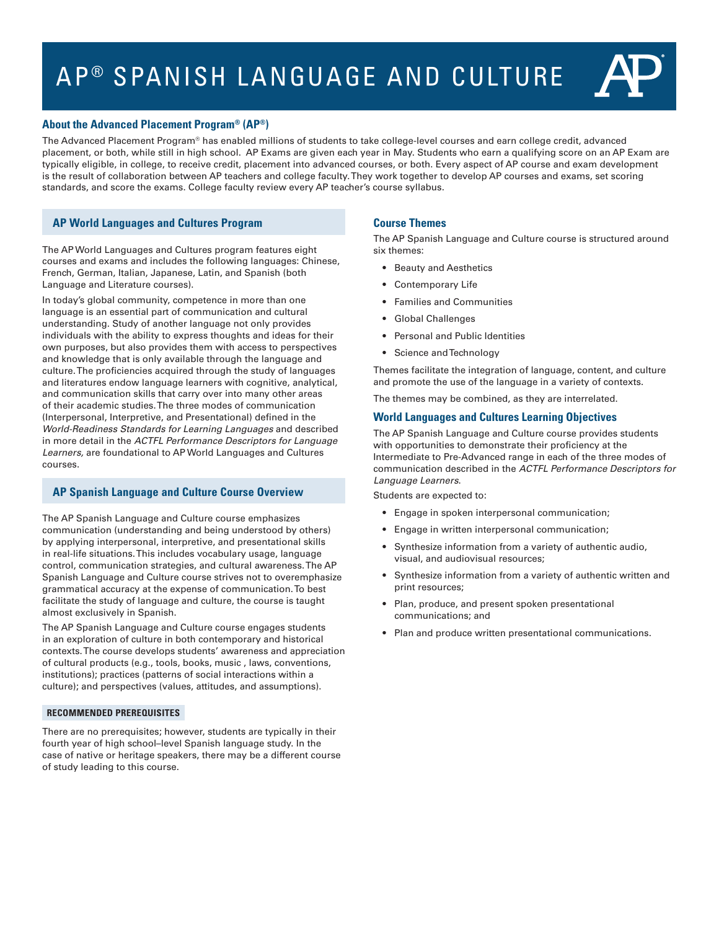# AP<sup>®</sup> SPANISH LANGUAGE AND CULTURE



# **About the Advanced Placement Program® (AP®)**

The Advanced Placement Program® has enabled millions of students to take college-level courses and earn college credit, advanced placement, or both, while still in high school. AP Exams are given each year in May. Students who earn a qualifying score on an AP Exam are typically eligible, in college, to receive credit, placement into advanced courses, or both. Every aspect of AP course and exam development is the result of collaboration between AP teachers and college faculty. They work together to develop AP courses and exams, set scoring standards, and score the exams. College faculty review every AP teacher's course syllabus.

# **AP World Languages and Cultures Program**

The AP World Languages and Cultures program features eight courses and exams and includes the following languages: Chinese, French, German, Italian, Japanese, Latin, and Spanish (both Language and Literature courses).

In today's global community, competence in more than one language is an essential part of communication and cultural understanding. Study of another language not only provides individuals with the ability to express thoughts and ideas for their own purposes, but also provides them with access to perspectives and knowledge that is only available through the language and culture. The proficiencies acquired through the study of languages and literatures endow language learners with cognitive, analytical, and communication skills that carry over into many other areas of their academic studies. The three modes of communication (Interpersonal, Interpretive, and Presentational) defined in the *World-Readiness Standards for Learning Languages* and described in more detail in the *ACTFL Performance Descriptors for Language Learners,* are foundational to AP World Languages and Cultures courses.

# **AP Spanish Language and Culture Course Overview**

The AP Spanish Language and Culture course emphasizes communication (understanding and being understood by others) by applying interpersonal, interpretive, and presentational skills in real-life situations. This includes vocabulary usage, language control, communication strategies, and cultural awareness. The AP Spanish Language and Culture course strives not to overemphasize grammatical accuracy at the expense of communication. To best facilitate the study of language and culture, the course is taught almost exclusively in Spanish.

The AP Spanish Language and Culture course engages students in an exploration of culture in both contemporary and historical contexts. The course develops students' awareness and appreciation of cultural products (e.g., tools, books, music , laws, conventions, institutions); practices (patterns of social interactions within a culture); and perspectives (values, attitudes, and assumptions).

#### **RECOMMENDED PREREQUISITES**

There are no prerequisites; however, students are typically in their fourth year of high school–level Spanish language study. In the case of native or heritage speakers, there may be a different course of study leading to this course.

# **Course Themes**

The AP Spanish Language and Culture course is structured around six themes:

- Beauty and Aesthetics
- Contemporary Life
- Families and Communities
- Global Challenges
- Personal and Public Identities
- Science and Technology

Themes facilitate the integration of language, content, and culture and promote the use of the language in a variety of contexts.

The themes may be combined, as they are interrelated.

# **World Languages and Cultures Learning Objectives**

The AP Spanish Language and Culture course provides students with opportunities to demonstrate their proficiency at the Intermediate to Pre-Advanced range in each of the three modes of communication described in the *ACTFL Performance Descriptors for Language Learners*.

Students are expected to:

- Engage in spoken interpersonal communication;
- Engage in written interpersonal communication;
- Synthesize information from a variety of authentic audio, visual, and audiovisual resources;
- Synthesize information from a variety of authentic written and print resources;
- Plan, produce, and present spoken presentational communications; and
- Plan and produce written presentational communications.